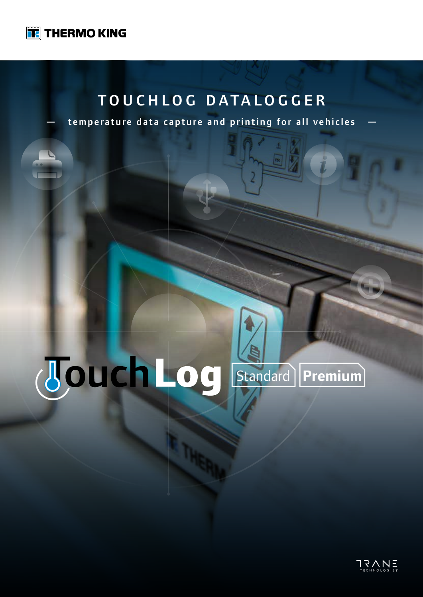

### TOUCHLOG DATALOGGER

temperature data capture and printing for all vehicles

# Standard **Premium**

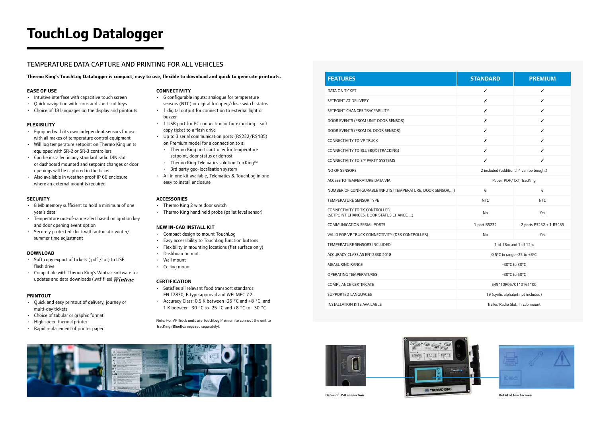CONNECTIVITY TO TK CONTROLLER (SETPOINT CHANGES, DOOR STATUS CHANGE,...)

COMMUNICATION SERIAL PORTS

VALID FOR VP TRUCK CONNECTIVITY (DSR CONTROLLER)

TEMPERATURE SENSORS INCLUDED

ACCURACY CLASS AS EN12830:2018

MEASURING RANGE

OPERATING TEMPERATURES

COMPLIANCE CERTIFICATE

SUPPORTED LANGUAGES

INSTALLATION KITS AVAILABLE

| <b>STANDARD</b>                         | <b>PREMIUM</b>          |
|-----------------------------------------|-------------------------|
| ✓                                       | ✓                       |
| x                                       | ℐ                       |
| x                                       | ✓                       |
| Х                                       | ✓                       |
| ✓                                       | ✓                       |
| Х                                       | ✓                       |
| ✓                                       | ✓                       |
| ✓                                       | ✓                       |
| 2 included (additional 4 can be bought) |                         |
| Paper, PDF/TXT, TracKing                |                         |
| 6<br>)                                  | 6                       |
| <b>NTC</b>                              | <b>NTC</b>              |
| No                                      | Yes                     |
| 1 port RS232                            | 2 ports RS232 + 1 RS485 |
| No                                      | Yes                     |
| 1 of 18m and 1 of 12m                   |                         |
| 0,5°C in range -25 to +8°C              |                         |
| -30°C to 30°C                           |                         |
| -30°C to 50°C                           |                         |
| E49*10R05/01*0161*00                    |                         |
| 19 (cyrilic alphabet not included)      |                         |
| Trailer, Radio Slot, In cab mount       |                         |



- Soft copy export of tickets (.pdf /.txt) to USB flash drive
- Compatible with Thermo King's Wintrac software for updates and data downloads (.wtf files)  $\textit{Wintrac}$

## **TouchLog Datalogger**

**Thermo King's TouchLog Datalogger is compact, easy to use, flexible to download and quick to generate printouts.**

#### TEMPERATURE DATA CAPTURE AND PRINTING FOR ALL VEHICLES

#### **EASE OF USE**

- Intuitive interface with capacitive touch screen
- Quick navigation with icons and short-cut keys
- Choice of 18 languages on the display and printouts

#### **FLEXIBILITY**

- Equipped with its own independent sensors for use with all makes of temperature control equipment
- Will log temperature setpoint on Thermo King units equipped with SR-2 or SR-3 controllers
- Can be installed in any standard radio DIN slot or dashboard mounted and setpoint changes or door openings will be captured in the ticket.
- Also available in weather-proof IP 66 enclosure where an external mount is required

#### **SECURITY**

- 8 Mb memory sufficient to hold a minimum of one year's data
- Temperature out-of-range alert based on ignition key and door opening event option
- Securely protected clock with automatic winter/ summer time adjustment

#### **DOWNLOAD**

#### **PRINTOUT**

- Quick and easy printout of delivery, journey or multi-day tickets
- Choice of tabular or graphic format
- High speed thermal printer
- Rapid replacement of printer paper

#### **CONNECTIVITY**

- 6 configurable inputs: analogue for temperature sensors (NTC) or digital for open/close switch status
- 1 digital output for connection to external light or buzzer
- 1 USB port for PC connection or for exporting a soft copy ticket to a flash drive
- Up to 3 serial communication ports (RS232/RS485)
- on Premium model for a connection to a:
- Thermo King unit controller for temperature setpoint, door status or defrost
- Thermo King Telematics solution TracKing<sup>TM</sup>
- 3rd party geo-localisation system
- All in one kit available, Telematics & TouchLog in one easy to install enclosure

#### **ACCESSORIES**

- Thermo King 2 wire door switch
- Thermo King hand held probe (pallet level sensor)

#### **NEW IN-CAB INSTALL KIT**

- Compact design to mount TouchLog
- Easy accessibility to TouchLog function buttons
- Flexibility in mounting locations (flat surface only)
- Dashboard mount
- Wall mount
- Ceiling mount

#### **CERTIFICATION**

- Satisfies all relevant food transport standards: EN 12830, E type approval and WELMEC 7.2
- Accuracy Class: 0.5 K between -25 °C and +8 °C, and 1 K between -30 °C to -25 °C and +8 °C to +30 °C

Note: For VP Truck units use TouchLog Premium to connect the unit to TracKing (BlueBox required separately).







#### **FEATURES**

DATA ON TICKET

SETPOINT AT DELIVERY

SETPOINT CHANGES TRACEABILITY

DOOR EVENTS (FROM UNIT DOOR SENSOR)

DOOR EVENTS (FROM DL DOOR SENSOR)

CONNECTIVITY TO VP TRUCK

CONNECTIVITY TO BLUEBOX (TRACKING)

CONNECTIVITY TO 3RD PARTY SYSTEMS

NO OF SENSORS

ACCESS TO TEMPERATURE DATA VIA:

NUMBER OF CONFIGURABLE INPUTS (TEMPERATURE, DOOR SENSOR...

TEMPERATURE SENSOR TYPE